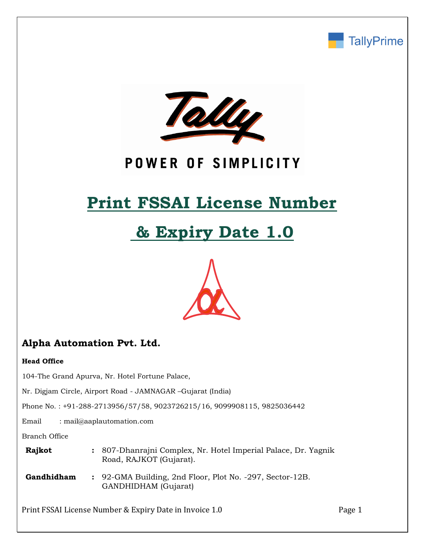



## POWER OF SIMPLICITY

# **Print FSSAI License Number**

# **& Expiry Date 1.0**



## **Alpha Automation Pvt. Ltd.**

#### **Head Office**

104-The Grand Apurva, Nr. Hotel Fortune Palace,

Nr. Digjam Circle, Airport Road - JAMNAGAR –Gujarat (India)

Phone No. : +91-288-2713956/57/58, 9023726215/16, 9099908115, 9825036442

Email : mail@aaplautomation.com

Branch Office

| Rajkot     | : 807-Dhanrajni Complex, Nr. Hotel Imperial Palace, Dr. Yagnik<br>Road, RAJKOT (Gujarat). |  |
|------------|-------------------------------------------------------------------------------------------|--|
| Gandhidham | : 92-GMA Building, 2nd Floor, Plot No. -297, Sector-12B.<br>GANDHIDHAM (Gujarat)          |  |

Print FSSAI License Number & Expiry Date in Invoice 1.0 Page 1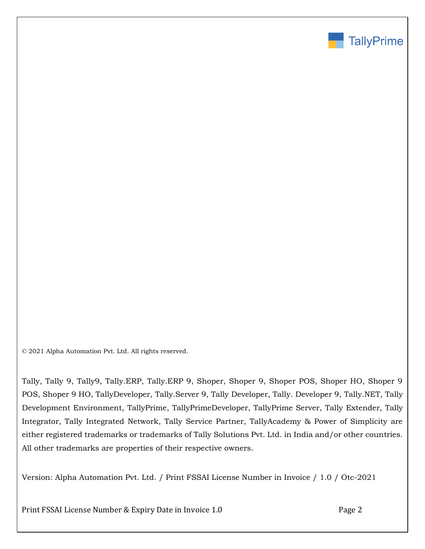

© 2021 Alpha Automation Pvt. Ltd. All rights reserved.

Tally, Tally 9, Tally9, Tally.ERP, Tally.ERP 9, Shoper, Shoper 9, Shoper POS, Shoper HO, Shoper 9 POS, Shoper 9 HO, TallyDeveloper, Tally.Server 9, Tally Developer, Tally. Developer 9, Tally.NET, Tally Development Environment, TallyPrime, TallyPrimeDeveloper, TallyPrime Server, Tally Extender, Tally Integrator, Tally Integrated Network, Tally Service Partner, TallyAcademy & Power of Simplicity are either registered trademarks or trademarks of Tally Solutions Pvt. Ltd. in India and/or other countries. All other trademarks are properties of their respective owners.

Version: Alpha Automation Pvt. Ltd. / Print FSSAI License Number in Invoice / 1.0 / Otc-2021

Print FSSAI License Number & Expiry Date in Invoice 1.0 Page 2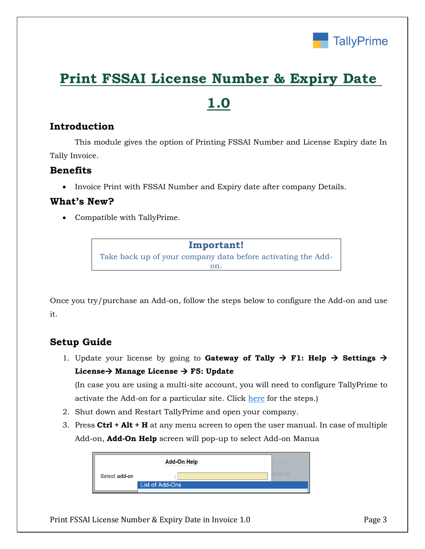

## **Print FSSAI License Number & Expiry Date**

## **1.0**

### **Introduction**

This module gives the option of Printing FSSAI Number and License Expiry date In Tally Invoice.

### **Benefits**

• Invoice Print with FSSAI Number and Expiry date after company Details.

### **What's New?**

Compatible with TallyPrime.

**Important!** Take back up of your company data before activating the Addon.

Once you try/purchase an Add-on, follow the steps below to configure the Add-on and use it.

## **Setup Guide**

1. Update your license by going to **Gateway of Tally**  $\rightarrow$  **F1: Help**  $\rightarrow$  **Settings**  $\rightarrow$ **License Manage License F5: Update**

(In case you are using a multi-site account, you will need to configure TallyPrime to activate the Add-on for a particular site. Click here for the steps.)

- 2. Shut down and Restart TallyPrime and open your company.
- 3. Press **Ctrl + Alt + H** at any menu screen to open the user manual. In case of multiple Add-on, **Add-On Help** screen will pop-up to select Add-on Manua

|               | <b>Add-On Help</b> |  |         |
|---------------|--------------------|--|---------|
| Select add-on |                    |  | 8aNkinα |
|               | List of Add-Ons    |  |         |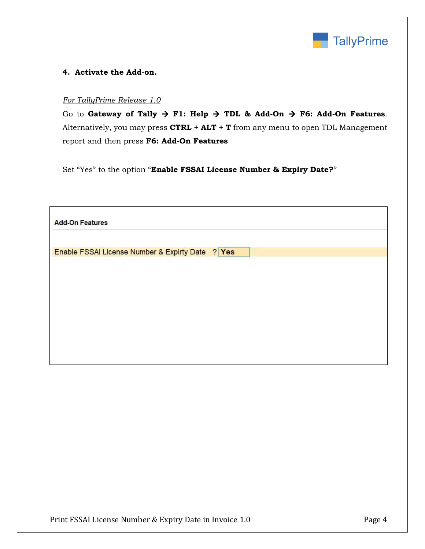

#### **4. Activate the Add-on.**

#### *For TallyPrime Release 1.0*

Go to Gateway of Tally  $\rightarrow$  F1: Help  $\rightarrow$  TDL & Add-On  $\rightarrow$  F6: Add-On Features. Alternatively, you may press **CTRL + ALT + T** from any menu to open TDL Management report and then press **F6: Add-On Features**

Set "Yes" to the option "**Enable FSSAI License Number & Expiry Date?**"

| <b>Add-On Features</b>                              |
|-----------------------------------------------------|
|                                                     |
| ? Yes<br>Enable FSSAI License Number & Expirty Date |
|                                                     |
|                                                     |
|                                                     |
|                                                     |
|                                                     |
|                                                     |
|                                                     |
|                                                     |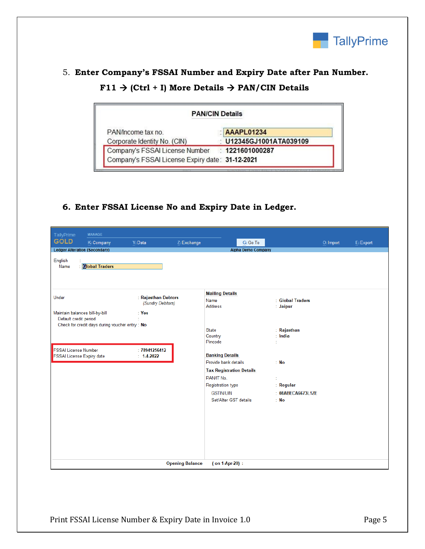

## 5. **Enter Company's FSSAI Number and Expiry Date after Pan Number.**  $F11 \rightarrow (Ctrl + I)$  More Details  $\rightarrow$  PAN/CIN Details

| <b>PAN/CIN Details</b>                          |                       |  |  |  |  |  |
|-------------------------------------------------|-----------------------|--|--|--|--|--|
| PAN/Income tax no                               | AAAPL01234            |  |  |  |  |  |
| Corporate Identity No. (CIN)                    | U12345GJ1001ATA039109 |  |  |  |  |  |
| Company's FSSAI License Number : 1221601000287  |                       |  |  |  |  |  |
| Company's FSSAI License Expiry date: 31-12-2021 |                       |  |  |  |  |  |

## **6. Enter FSSAI License No and Expiry Date in Ledger.**

| TallyPrime                                                       | <b>MANAGE</b>                                  |                                                       |                        |                                                                                     |                           |                                        |           |           |
|------------------------------------------------------------------|------------------------------------------------|-------------------------------------------------------|------------------------|-------------------------------------------------------------------------------------|---------------------------|----------------------------------------|-----------|-----------|
| <b>GOLD</b>                                                      | K: Company                                     | Y: Data                                               | Z: Exchange            |                                                                                     | G: Go To                  |                                        | O: Import | E: Export |
| <b>Ledger Alteration (Secondary)</b>                             |                                                |                                                       |                        |                                                                                     | <b>Alpha Demo Company</b> |                                        |           |           |
| English<br>Name                                                  | : <b>Global Traders</b>                        |                                                       |                        |                                                                                     |                           |                                        |           |           |
| Under<br>Maintain balances bill-by-bill<br>Default credit period | Check for credit days during voucher entry: No | : Rajasthan Debtors<br>(Sundry Debtors)<br>$\div$ Yes |                        | <b>Mailing Details</b><br>Name<br>Address                                           |                           | : Global Traders<br>: Jaipur           |           |           |
| <b>FSSAI License Number</b>                                      |                                                | :78941256412                                          |                        | State<br>Country<br>Pincode<br><b>Banking Details</b>                               | t                         | : Rajasthan<br>$:$ India               |           |           |
| FSSAI License Expiry date                                        |                                                | $: 1-4-2022$                                          |                        | Provide bank details<br><b>Tax Registration Details</b>                             |                           | : No                                   |           |           |
|                                                                  |                                                |                                                       |                        | PAN/IT No.<br><b>Registration type</b><br><b>GSTIN/UIN</b><br>Set/Alter GST details | ÷                         | : Regular<br>: 08ABECA6673L1ZE<br>: No |           |           |
|                                                                  |                                                |                                                       | <b>Opening Balance</b> | (on 1-Apr-20) :                                                                     |                           |                                        |           |           |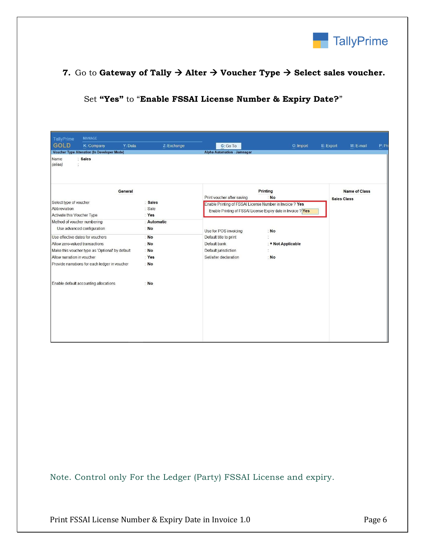

#### **7.** Go to Gateway of Tally  $\rightarrow$  Alter  $\rightarrow$  Voucher Type  $\rightarrow$  Select sales voucher.

#### Set **"Yes"** to "**Enable FSSAI License Number & Expiry Date?**"

| <b>MANAGE</b><br>TallyPrime                        |                        |                                                          |                                                               |                        |        |  |
|----------------------------------------------------|------------------------|----------------------------------------------------------|---------------------------------------------------------------|------------------------|--------|--|
| <b>GOLD</b><br>K: Company                          | Y: Data<br>Z: Exchange | G: Go To                                                 | O: Import                                                     | E: Export<br>M: E-mail | P: Pri |  |
| <b>Voucher Type Alteration (In Developer Mode)</b> |                        | <b>Alpha Automation - Jamnagar</b>                       |                                                               |                        |        |  |
| : Sales<br>Name<br>(alias)<br>Ť                    |                        |                                                          |                                                               |                        |        |  |
|                                                    |                        |                                                          |                                                               |                        |        |  |
|                                                    |                        |                                                          |                                                               |                        |        |  |
|                                                    |                        |                                                          | Printing                                                      |                        |        |  |
| General                                            |                        | Print voucher after saving                               |                                                               | <b>Name of Class</b>   |        |  |
| Select type of voucher                             | : Sales                | Enable Printing of FSSAI License Number in Invoice ? Yes | : No                                                          | <b>Sales Class</b>     |        |  |
| Abbreviation                                       | : Sale                 |                                                          | Enable Printing of FSSAI License Expiry date in Invoice ? Yes |                        |        |  |
| Activate this Voucher Type                         | : Yes                  |                                                          |                                                               |                        |        |  |
| Method of voucher numbering                        | Automatic              |                                                          |                                                               |                        |        |  |
| Use advanced configuration                         | : No                   | Use for POS invoicing                                    | : No                                                          |                        |        |  |
| Use effective dates for vouchers                   | : No                   | Default title to print                                   |                                                               |                        |        |  |
| Allow zero-valued transactions                     | : No                   | Default bank                                             | : ◆ Not Applicable                                            |                        |        |  |
| Make this voucher type as 'Optional' by default    | : No                   | Default jurisdiction                                     |                                                               |                        |        |  |
| Allow narration in voucher                         | Yes                    | Set/alter declaration                                    | : No                                                          |                        |        |  |
| Provide narrations for each ledger in voucher      | : No                   |                                                          |                                                               |                        |        |  |
|                                                    |                        |                                                          |                                                               |                        |        |  |
|                                                    |                        |                                                          |                                                               |                        |        |  |
| Enable default accounting allocations              | : No                   |                                                          |                                                               |                        |        |  |
|                                                    |                        |                                                          |                                                               |                        |        |  |
|                                                    |                        |                                                          |                                                               |                        |        |  |
|                                                    |                        |                                                          |                                                               |                        |        |  |
|                                                    |                        |                                                          |                                                               |                        |        |  |
|                                                    |                        |                                                          |                                                               |                        |        |  |
|                                                    |                        |                                                          |                                                               |                        |        |  |
|                                                    |                        |                                                          |                                                               |                        |        |  |
|                                                    |                        |                                                          |                                                               |                        |        |  |

Note. Control only For the Ledger (Party) FSSAI License and expiry.

Print FSSAI License Number & Expiry Date in Invoice 1.0 Page 6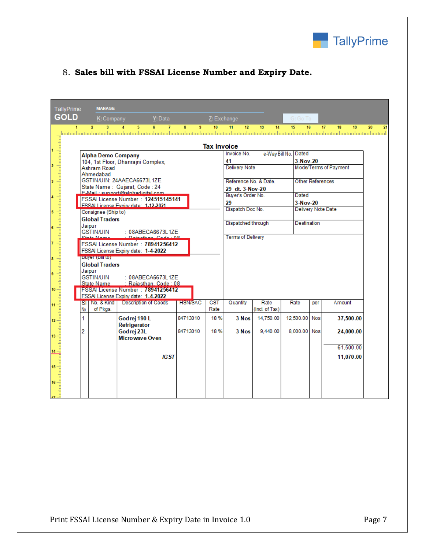

### 8. **Sales bill with FSSAI License Number and Expiry Date.**

| TallyPrime                                                                              |                                                                                                                                                                                                                                            | <b>MANAGE</b>  |                          |        |                  |                       |                       |           |  |                |          |
|-----------------------------------------------------------------------------------------|--------------------------------------------------------------------------------------------------------------------------------------------------------------------------------------------------------------------------------------------|----------------|--------------------------|--------|------------------|-----------------------|-----------------------|-----------|--|----------------|----------|
| <b>GOLD</b>                                                                             |                                                                                                                                                                                                                                            | K: Company     | Y: Data                  |        | Z: Exchange      |                       |                       | $G:Go$ To |  |                |          |
|                                                                                         |                                                                                                                                                                                                                                            | $\overline{2}$ | 6<br>$\overline{7}$<br>5 | 8<br>9 | 10 <sup>10</sup> | 11<br>12 <sup>2</sup> | 13 <sup>5</sup><br>14 | 15<br>16  |  | 17<br>18<br>19 | 20<br>21 |
|                                                                                         |                                                                                                                                                                                                                                            |                |                          |        |                  |                       |                       |           |  |                |          |
|                                                                                         |                                                                                                                                                                                                                                            |                |                          |        |                  |                       |                       |           |  |                |          |
|                                                                                         |                                                                                                                                                                                                                                            |                |                          |        |                  |                       |                       |           |  |                |          |
|                                                                                         |                                                                                                                                                                                                                                            |                |                          |        |                  |                       |                       |           |  |                |          |
|                                                                                         |                                                                                                                                                                                                                                            |                |                          |        |                  |                       |                       |           |  |                |          |
|                                                                                         |                                                                                                                                                                                                                                            |                |                          |        |                  |                       |                       |           |  |                |          |
|                                                                                         |                                                                                                                                                                                                                                            |                |                          |        |                  |                       |                       |           |  |                |          |
|                                                                                         |                                                                                                                                                                                                                                            |                |                          |        |                  |                       |                       |           |  |                |          |
|                                                                                         |                                                                                                                                                                                                                                            |                |                          |        |                  |                       |                       |           |  |                |          |
|                                                                                         |                                                                                                                                                                                                                                            |                |                          |        |                  |                       |                       |           |  |                |          |
|                                                                                         |                                                                                                                                                                                                                                            |                |                          |        |                  |                       |                       |           |  |                |          |
|                                                                                         |                                                                                                                                                                                                                                            |                |                          |        |                  |                       |                       |           |  |                |          |
|                                                                                         |                                                                                                                                                                                                                                            |                |                          |        |                  |                       |                       |           |  |                |          |
|                                                                                         |                                                                                                                                                                                                                                            |                |                          |        |                  |                       |                       |           |  |                |          |
|                                                                                         |                                                                                                                                                                                                                                            |                |                          |        |                  |                       |                       |           |  |                |          |
|                                                                                         |                                                                                                                                                                                                                                            |                |                          |        |                  |                       |                       |           |  |                |          |
|                                                                                         | COLLEGE CONTROL 21 - San Andre Company<br>Mathematical and Anti-Britain Company<br>Mathematical Control of Company<br>Anne mediated Control of Company<br>Anne mediated Control of Company<br>Anne mediated Control of Company<br>Anne med |                |                          |        |                  |                       |                       |           |  |                |          |
|                                                                                         |                                                                                                                                                                                                                                            |                |                          |        |                  |                       |                       |           |  |                |          |
|                                                                                         |                                                                                                                                                                                                                                            |                |                          |        |                  |                       |                       |           |  |                |          |
|                                                                                         |                                                                                                                                                                                                                                            |                |                          |        |                  |                       |                       |           |  |                |          |
|                                                                                         |                                                                                                                                                                                                                                            |                |                          |        |                  |                       |                       |           |  |                |          |
|                                                                                         |                                                                                                                                                                                                                                            |                |                          |        |                  |                       |                       |           |  |                |          |
|                                                                                         |                                                                                                                                                                                                                                            |                |                          |        |                  |                       |                       |           |  |                |          |
|                                                                                         |                                                                                                                                                                                                                                            |                |                          |        |                  |                       |                       |           |  |                |          |
|                                                                                         |                                                                                                                                                                                                                                            |                |                          |        |                  |                       |                       |           |  |                |          |
|                                                                                         |                                                                                                                                                                                                                                            |                |                          |        |                  |                       |                       |           |  |                |          |
| 14 <sup>°</sup>                                                                         |                                                                                                                                                                                                                                            |                |                          |        |                  |                       |                       |           |  |                |          |
|                                                                                         |                                                                                                                                                                                                                                            |                | IGST                     |        |                  |                       |                       |           |  | 11,070.00      |          |
| $\begin{array}{c} \mathbf{15} \\ \mathbf{16} \\ \mathbf{17} \\ \mathbf{18} \end{array}$ |                                                                                                                                                                                                                                            |                |                          |        |                  |                       |                       |           |  |                |          |
|                                                                                         |                                                                                                                                                                                                                                            |                |                          |        |                  |                       |                       |           |  |                |          |
|                                                                                         |                                                                                                                                                                                                                                            |                |                          |        |                  |                       |                       |           |  |                |          |
|                                                                                         |                                                                                                                                                                                                                                            |                |                          |        |                  |                       |                       |           |  |                |          |
|                                                                                         |                                                                                                                                                                                                                                            |                |                          |        |                  |                       |                       |           |  |                |          |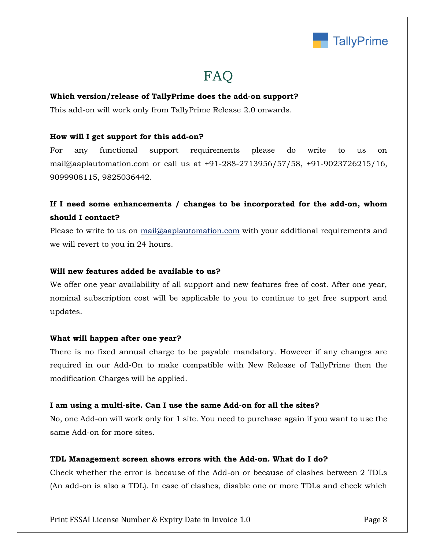

## FAQ

#### **Which version/release of TallyPrime does the add-on support?**

This add-on will work only from TallyPrime Release 2.0 onwards.

#### **How will I get support for this add-on?**

For any functional support requirements please do write to us on mail@aaplautomation.com or call us at +91-288-2713956/57/58, +91-9023726215/16, 9099908115, 9825036442.

## **If I need some enhancements / changes to be incorporated for the add-on, whom should I contact?**

Please to write to us on mail@aaplautomation.com with your additional requirements and we will revert to you in 24 hours.

#### **Will new features added be available to us?**

We offer one year availability of all support and new features free of cost. After one year, nominal subscription cost will be applicable to you to continue to get free support and updates.

#### **What will happen after one year?**

There is no fixed annual charge to be payable mandatory. However if any changes are required in our Add-On to make compatible with New Release of TallyPrime then the modification Charges will be applied.

#### **I am using a multi-site. Can I use the same Add-on for all the sites?**

No, one Add-on will work only for 1 site. You need to purchase again if you want to use the same Add-on for more sites.

#### **TDL Management screen shows errors with the Add-on. What do I do?**

Check whether the error is because of the Add-on or because of clashes between 2 TDLs (An add-on is also a TDL). In case of clashes, disable one or more TDLs and check which